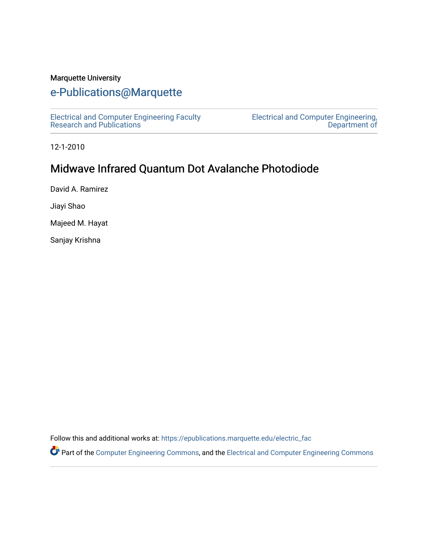## Marquette University

## [e-Publications@Marquette](https://epublications.marquette.edu/)

[Electrical and Computer Engineering Faculty](https://epublications.marquette.edu/electric_fac) [Research and Publications](https://epublications.marquette.edu/electric_fac) 

[Electrical and Computer Engineering,](https://epublications.marquette.edu/electric)  [Department of](https://epublications.marquette.edu/electric) 

12-1-2010

## Midwave Infrared Quantum Dot Avalanche Photodiode

David A. Ramirez

Jiayi Shao

Majeed M. Hayat

Sanjay Krishna

Follow this and additional works at: [https://epublications.marquette.edu/electric\\_fac](https://epublications.marquette.edu/electric_fac?utm_source=epublications.marquette.edu%2Felectric_fac%2F523&utm_medium=PDF&utm_campaign=PDFCoverPages) 

Part of the [Computer Engineering Commons,](http://network.bepress.com/hgg/discipline/258?utm_source=epublications.marquette.edu%2Felectric_fac%2F523&utm_medium=PDF&utm_campaign=PDFCoverPages) and the [Electrical and Computer Engineering Commons](http://network.bepress.com/hgg/discipline/266?utm_source=epublications.marquette.edu%2Felectric_fac%2F523&utm_medium=PDF&utm_campaign=PDFCoverPages)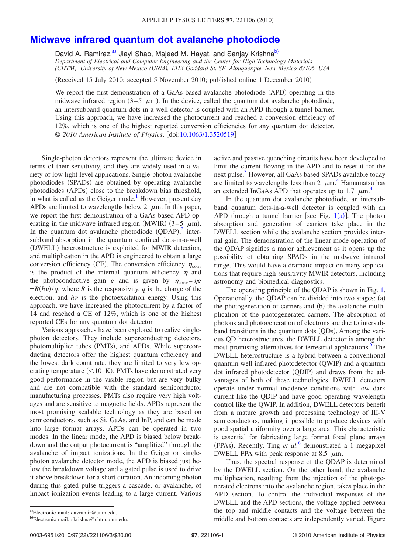## **[Midwave infrared quantum dot avalanche photodiode](http://dx.doi.org/10.1063/1.3520519)**

David A. Ramirez,<sup>a)</sup> Jiayi Shao, Majeed M. Hayat, and Sanjay Krishna<sup>b)</sup> *Department of Electrical and Computer Engineering and the Center for High Technology Materials (CHTM), University of New Mexico (UNM), 1313 Goddard St. SE, Albuquerque, New Mexico 87106, USA*

(Received 15 July 2010; accepted 5 November 2010; published online 1 December 2010)

We report the first demonstration of a GaAs based avalanche photodiode (APD) operating in the midwave infrared region  $(3-5 \mu m)$ . In the device, called the quantum dot avalanche photodiode, an intersubband quantum dots-in-a-well detector is coupled with an APD through a tunnel barrier. Using this approach, we have increased the photocurrent and reached a conversion efficiency of 12%, which is one of the highest reported conversion efficiencies for any quantum dot detector. © *2010 American Institute of Physics*. doi[:10.1063/1.3520519](http://dx.doi.org/10.1063/1.3520519)

Single-photon detectors represent the ultimate device in terms of their sensitivity, and they are widely used in a variety of low light level applications. Single-photon avalanche photodiodes (SPADs) are obtained by operating avalanche photodiodes (APDs) close to the breakdown bias threshold, in what is called as the Geiger mode.<sup>1</sup> However, present day APDs are limited to wavelengths below 2  $\,\mu$ m. In this paper, we report the first demonstration of a GaAs based APD operating in the midwave infrared region (MWIR)  $(3-5 \mu m)$ . In the quantum dot avalanche photodiode  $(QDAP)<sup>2</sup>$  $(QDAP)<sup>2</sup>$  $(QDAP)<sup>2</sup>$  intersubband absorption in the quantum confined dots-in-a-well (DWELL) heterostructure is exploited for MWIR detection, and multiplication in the APD is engineered to obtain a large conversion efficiency (CE). The conversion efficiency  $\eta_{\rm conv}$ is the product of the internal quantum efficiency  $\eta$  and the photoconductive gain *g* and is given by  $\eta_{\text{conv}} = \eta g$  $= R(h\nu)/q$ , where *R* is the responsivity, *q* is the charge of the electron, and  $h\nu$  is the photoexcitation energy. Using this approach, we have increased the photocurrent by a factor of 14 and reached a CE of 12%, which is one of the highest reported CEs for any quantum dot detector.

Various approaches have been explored to realize singlephoton detectors. They include superconducting detectors, photomultiplier tubes (PMTs), and APDs. While superconducting detectors offer the highest quantum efficiency and the lowest dark count rate, they are limited to very low operating temperature  $(< 10 K$ ). PMTs have demonstrated very good performance in the visible region but are very bulky and are not compatible with the standard semiconductor manufacturing processes. PMTs also require very high voltages and are sensitive to magnetic fields. APDs represent the most promising scalable technology as they are based on semiconductors, such as Si, GaAs, and InP, and can be made into large format arrays. APDs can be operated in two modes. In the linear mode, the APD is biased below breakdown and the output photocurrent is "amplified" through the avalanche of impact ionizations. In the Geiger or singlephoton avalanche detector mode, the APD is biased just below the breakdown voltage and a gated pulse is used to drive it above breakdown for a short duration. An incoming photon during this gated pulse triggers a cascade, or avalanche, of impact ionization events leading to a large current. Various

active and passive quenching circuits have been developed to limit the current flowing in the APD and to reset it for the next pulse.<sup>3</sup> However, all GaAs based SPADs available today are limited to wavelengths less than 2  $\mu$ m.<sup>[4](#page-3-3)</sup> Hamamatsu has an extended InGaAs APD that operates up to 1.7  $\mu$ m.<sup>[4](#page-3-3)</sup>

In the quantum dot avalanche photodiode, an intersubband quantum dots-in-a-well detector is coupled with an APD through a tunnel barrier [see Fig.  $1(a)$  $1(a)$ ]. The photon absorption and generation of carriers take place in the DWELL section while the avalanche section provides internal gain. The demonstration of the linear mode operation of the QDAP signifies a major achievement as it opens up the possibility of obtaining SPADs in the midwave infrared range. This would have a dramatic impact on many applications that require high-sensitivity MWIR detectors, including astronomy and biomedical diagnostics.

The operating principle of the QDAP is shown in Fig. [1.](#page-2-0) Operationally, the QDAP can be divided into two stages: (a) the photogeneration of carriers and (b) the avalanche multiplication of the photogenerated carriers. The absorption of photons and photogeneration of electrons are due to intersubband transitions in the quantum dots (QDs). Among the various QD heterostructures, the DWELL detector is among the most promising alternatives for terrestrial applications.<sup>5</sup> The DWELL heterostructure is a hybrid between a conventional quantum well infrared photodetector (QWIP) and a quantum dot infrared photodetector (QDIP) and draws from the advantages of both of these technologies. DWELL detectors operate under normal incidence conditions with low dark current like the QDIP and have good operating wavelength control like the QWIP. In addition, DWELL detectors benefit from a mature growth and processing technology of III-V semiconductors, making it possible to produce devices with good spatial uniformity over a large area. This characteristic is essential for fabricating large format focal plane arrays (FPAs). Recently, Ting et al.<sup>[6](#page-3-5)</sup> demonstrated a 1 megapixel DWELL FPA with peak response at 8.5  $\mu$ m.

Thus, the spectral response of the QDAP is determined by the DWELL section. On the other hand, the avalanche multiplication, resulting from the injection of the photogenerated electrons into the avalanche region, takes place in the APD section. To control the individual responses of the DWELL and the APD sections, the voltage applied between the top and middle contacts and the voltage between the middle and bottom contacts are independently varied. Figure

<span id="page-1-1"></span><span id="page-1-0"></span>a)Electronic mail: davramir@unm.edu.

b Electronic mail: skrishna@chtm.unm.edu.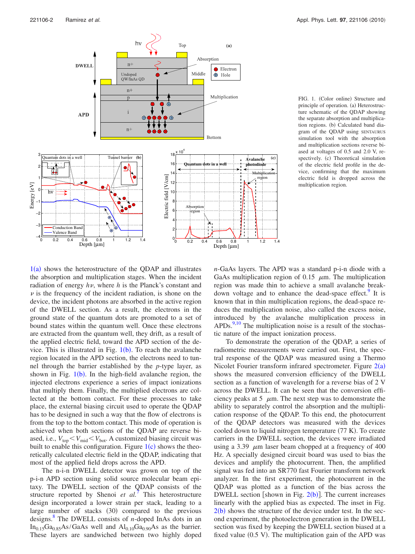<span id="page-2-0"></span>

FIG. 1. (Color online) Structure and principle of operation. (a) Heterostructure schematic of the QDAP showing the separate absorption and multiplication regions. (b) Calculated band diagram of the QDAP using SENTAURUS simulation tool with the absorption and multiplication sections reverse biased at voltages of 0.5 and 2.0 V, respectively. (c) Theoretical simulation of the electric field profile in the device, confirming that the maximum electric field is dropped across the multiplication region.

 $1(a)$  $1(a)$  shows the heterostructure of the QDAP and illustrates the absorption and multiplication stages. When the incident radiation of energy  $h\nu$ , where *h* is the Planck's constant and  $\nu$  is the frequency of the incident radiation, is shone on the device, the incident photons are absorbed in the active region of the DWELL section. As a result, the electrons in the ground state of the quantum dots are promoted to a set of bound states within the quantum well. Once these electrons are extracted from the quantum well, they drift, as a result of the applied electric field, toward the APD section of the device. This is illustrated in Fig.  $1(b)$  $1(b)$ . To reach the avalanche region located in the APD section, the electrons need to tunnel through the barrier established by the *p*-type layer, as shown in Fig.  $1(b)$  $1(b)$ . In the high-field avalanche region, the injected electrons experience a series of impact ionizations that multiply them. Finally, the multiplied electrons are collected at the bottom contact. For these processes to take place, the external biasing circuit used to operate the QDAP has to be designed in such a way that the flow of electrons is from the top to the bottom contact. This mode of operation is achieved when both sections of the QDAP are reverse biased, i.e.,  $V_{top} < V_{mid} < V_{bot}$ . A customize[d bia](#page-2-0)sing circuit was built to enable this configuration. Figure  $1(c)$  shows the theoretically calculated electric field in the QDAP, indicating that most of the applied field drops across the APD.

The n-i-n DWELL detector was grown on top of the p-i-n APD section using solid source molecular beam epitaxy. The DWELL section of the QDAP consists of the structure reported by Shenoi *et al.*<sup>[7](#page-3-6)</sup> This heterostructure design incorporated a lower strain per stack, leading to a large number of stacks (30) compared to the previous designs[.8](#page-3-7) The DWELL consists of *n*-doped InAs dots in an  $In<sub>0.15</sub>Ga<sub>0.85</sub>As/GaAs$  well and  $Al<sub>0.10</sub>Ga<sub>0.90</sub>As$  as the barrier. These layers are sandwiched between two highly doped *n*-GaAs layers. The APD was a standard p-i-n diode with a GaAs multiplication region of 0.15  $\mu$ m. The multiplication region was made thin to achieve a small avalanche breakdown voltage and to enhance the dead-space effect. It is known that in thin multiplication regions, the dead-space reduces the multiplication noise, also called the excess noise, introduced by the avalanche multiplication process in  $APDs<sup>9,10</sup>$  $APDs<sup>9,10</sup>$  $APDs<sup>9,10</sup>$ . The multiplication noise is a result of the stochastic nature of the impact ionization process.

To demonstrate the operation of the QDAP, a series of radiometric measurements were carried out. First, the spectral response of the QDAP was measured using a Thermo Nicolet Fourier transform infrared spectrometer. Figure  $2(a)$  $2(a)$ shows the measured conversion efficiency of the DWELL section as a function of wavelength for a reverse bias of 2 V across the DWELL. It can be seen that the conversion efficiency peaks at 5  $\mu$ m. The next step was to demonstrate the ability to separately control the absorption and the multiplication response of the QDAP. To this end, the photocurrent of the QDAP detectors was measured with the devices cooled down to liquid nitrogen temperature (77 K). To create carriers in the DWELL section, the devices were irradiated using a 3.39  $\mu$ m laser beam chopped at a frequency of 400 Hz. A specially designed circuit board was used to bias the devices and amplify the photocurrent. Then, the amplified signal was fed into an SR770 fast Fourier transform network analyzer. In the first experiment, the photocurrent in the QDAP was plotted as a function of the bias across the DWELL section [shown in Fig.  $2(b)$  $2(b)$ ]. The current increases linearly with the applied bias as expected. The inset in Fig.  $2(b)$  $2(b)$  shows the structure of the device under test. In the second experiment, the photoelectron generation in the DWELL section was fixed by keeping the DWELL section biased at a fixed value (0.5 V). The multiplication gain of the APD was